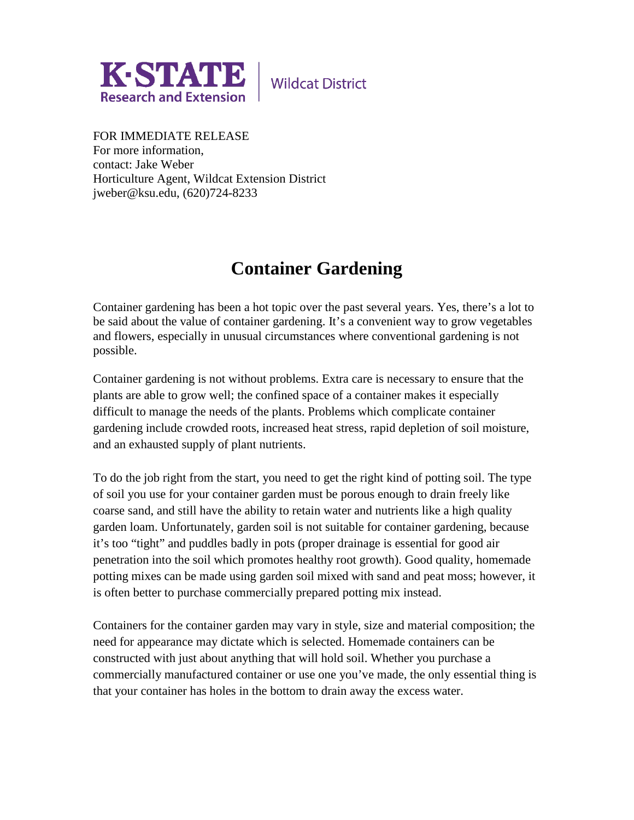

**Wildcat District** 

FOR IMMEDIATE RELEASE For more information, contact: Jake Weber Horticulture Agent, Wildcat Extension District jweber@ksu.edu, (620)724-8233

## **Container Gardening**

Container gardening has been a hot topic over the past several years. Yes, there's a lot to be said about the value of container gardening. It's a convenient way to grow vegetables and flowers, especially in unusual circumstances where conventional gardening is not possible.

Container gardening is not without problems. Extra care is necessary to ensure that the plants are able to grow well; the confined space of a container makes it especially difficult to manage the needs of the plants. Problems which complicate container gardening include crowded roots, increased heat stress, rapid depletion of soil moisture, and an exhausted supply of plant nutrients.

To do the job right from the start, you need to get the right kind of potting soil. The type of soil you use for your container garden must be porous enough to drain freely like coarse sand, and still have the ability to retain water and nutrients like a high quality garden loam. Unfortunately, garden soil is not suitable for container gardening, because it's too "tight" and puddles badly in pots (proper drainage is essential for good air penetration into the soil which promotes healthy root growth). Good quality, homemade potting mixes can be made using garden soil mixed with sand and peat moss; however, it is often better to purchase commercially prepared potting mix instead.

Containers for the container garden may vary in style, size and material composition; the need for appearance may dictate which is selected. Homemade containers can be constructed with just about anything that will hold soil. Whether you purchase a commercially manufactured container or use one you've made, the only essential thing is that your container has holes in the bottom to drain away the excess water.